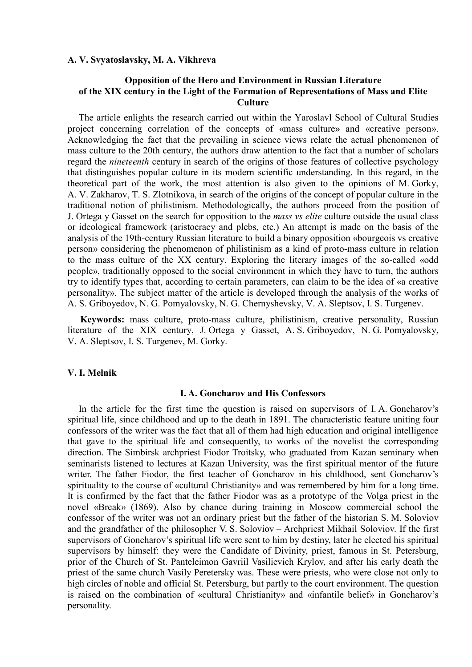#### **A. V. Svyatoslavsky, M. A. Vikhreva**

# **Opposition of the Hero and Environment in Russian Literature of the XIX century in the Light of the Formation of Representations of Mass and Elite Culture**

The article enlights the research carried out within the Yaroslavl School of Cultural Studies project concerning correlation of the concepts of «mass culture» and «creative person». Acknowledging the fact that the prevailing in science views relate the actual phenomenon of mass culture to the 20th century, the authors draw attention to the fact that a number of scholars regard the *nineteenth* century in search of the origins of those features of collective psychology that distinguishes popular culture in its modern scientific understanding. In this regard, in the theoretical part of the work, the most attention is also given to the opinions of M. Gorky, A. V. Zakharov, T. S. Zlotnikova, in search of the origins of the concept of popular culture in the traditional notion of philistinism. Methodologically, the authors proceed from the position of J. Ortega y Gasset on the search for opposition to the *mass vs elite* culture outside the usual class or ideological framework (aristocracy and plebs, etc.) An attempt is made on the basis of the analysis of the 19th-century Russian literature to build a binary opposition «bourgeois vs creative person» considering the phenomenon of philistinism as a kind of proto-mass culture in relation to the mass culture of the XX century. Exploring the literary images of the so-called «odd people», traditionally opposed to the social environment in which they have to turn, the authors try to identify types that, according to certain parameters, can claim to be the idea of «a creative personality». The subject matter of the article is developed through the analysis of the works of A. S. Griboyedov, N. G. Pomyalovsky, N. G. Chernyshevsky, V. A. Sleptsov, I. S. Turgenev.

**Keywords:** mass culture, proto-mass culture, philistinism, creative personality, Russian literature of the XIX century, J. Ortega y Gasset, A. S. Griboyedov, N. G. Pomyalovsky, V. A. Sleptsov, I. S. Turgenev, M. Gorky.

### **V. I. Melnik**

#### **I. A. Goncharov and His Confessors**

In the article for the first time the question is raised on supervisors of I. A. Goncharov's spiritual life, since childhood and up to the death in 1891. The characteristic feature uniting four confessors of the writer was the fact that all of them had high education and original intelligence that gave to the spiritual life and consequently, to works of the novelist the corresponding direction. The Simbirsk archpriest Fiodor Troitsky, who graduated from Kazan seminary when seminarists listened to lectures at Kazan University, was the first spiritual mentor of the future writer. The father Fiodor, the first teacher of Goncharov in his childhood, sent Goncharov's spirituality to the course of «cultural Christianity» and was remembered by him for a long time. It is confirmed by the fact that the father Fiodor was as a prototype of the Volga priest in the novel «Break» (1869). Also by chance during training in Moscow commercial school the confessor of the writer was not an ordinary priest but the father of the historian S. M. Soloviov and the grandfather of the philosopher V. S. Soloviov – Archpriest Mikhail Soloviov. If the first supervisors of Goncharov's spiritual life were sent to him by destiny, later he elected his spiritual supervisors by himself: they were the Candidate of Divinity, priest, famous in St. Petersburg, prior of the Church of St. Panteleimon Gavriil Vasilievich Krylov, and after his early death the priest of the same church Vasily Peretersky was. These were priests, who were close not only to high circles of noble and official St. Petersburg, but partly to the court environment. The question is raised on the combination of «cultural Christianity» and «infantile belief» in Goncharov's personality.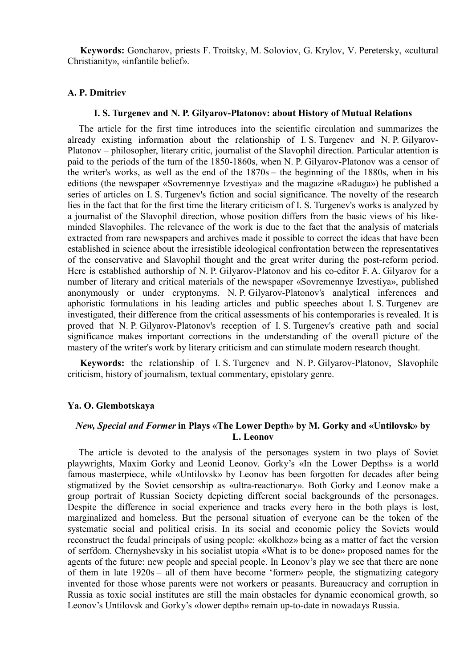**Keywords:** Goncharov, priests F. Troitsky, M. Soloviov, G. Krylov, V. Peretersky, «cultural Christianity», «infantile belief».

# **A. P. Dmitriev**

#### **I. S. Turgenev and N. P. Gilyarov-Platonov: about History of Mutual Relations**

The article for the first time introduces into the scientific circulation and summarizes the already existing information about the relationship of I. S. Turgenev and N. P. Gilyarov-Platonov – philosopher, literary critic, journalist of the Slavophil direction. Particular attention is paid to the periods of the turn of the 1850-1860s, when N. P. Gilyarov-Platonov was a censor of the writer's works, as well as the end of the 1870s – the beginning of the 1880s, when in his editions (the newspaper «Sovremennye Izvestiya» and the magazine «Raduga») he published a series of articles on I. S. Turgenev's fiction and social significance. The novelty of the research lies in the fact that for the first time the literary criticism of I. S. Turgenev's works is analyzed by a journalist of the Slavophil direction, whose position differs from the basic views of his likeminded Slavophiles. The relevance of the work is due to the fact that the analysis of materials extracted from rare newspapers and archives made it possible to correct the ideas that have been established in science about the irresistible ideological confrontation between the representatives of the conservative and Slavophil thought and the great writer during the post-reform period. Here is established authorship of N. P. Gilyarov-Platonov and his co-editor F. A. Gilyarov for a number of literary and critical materials of the newspaper «Sovremennye Izvestiya», published anonymously or under cryptonyms. N. P. Gilyarov-Platonov's analytical inferences and aphoristic formulations in his leading articles and public speeches about I. S. Turgenev are investigated, their difference from the critical assessments of his contemporaries is revealed. It is proved that N. P. Gilyarov-Platonov's reception of I. S. Turgenev's creative path and social significance makes important corrections in the understanding of the overall picture of the mastery of the writer's work by literary criticism and can stimulate modern research thought.

**Keywords:** the relationship of I. S. Turgenev and N. P. Gilyarov-Platonov, Slavophile criticism, history of journalism, textual commentary, epistolary genre.

## **Ya. O. Glembotskaya**

# *New, Special and Former* **in Plays «The Lower Depth» by M. Gorky and «Untilovsk» by L. Leonov**

The article is devoted to the analysis of the personages system in two plays of Soviet playwrights, Maxim Gorky and Leonid Leonov. Gorky's «In the Lower Depths» is a world famous masterpiece, while «Untilovsk» by Leonov has been forgotten for decades after being stigmatized by the Soviet censorship as «ultra-reactionary». Both Gorky and Leonov make a group portrait of Russian Society depicting different social backgrounds of the personages. Despite the difference in social experience and tracks every hero in the both plays is lost, marginalized and homeless. But the personal situation of everyone can be the token of the systematic social and political crisis. In its social and economic policy the Soviets would reconstruct the feudal principals of using people: «kolkhoz» being as a matter of fact the version of serfdom. Chernyshevsky in his socialist utopia «What is to be done» proposed names for the agents of the future: new people and special people. In Leonov's play we see that there are none of them in late 1920s – all of them have become 'former» people, the stigmatizing category invented for those whose parents were not workers or peasants. Bureaucracy and corruption in Russia as toxic social institutes are still the main obstacles for dynamic economical growth, so Leonov's Untilovsk and Gorky's «lower depth» remain up-to-date in nowadays Russia.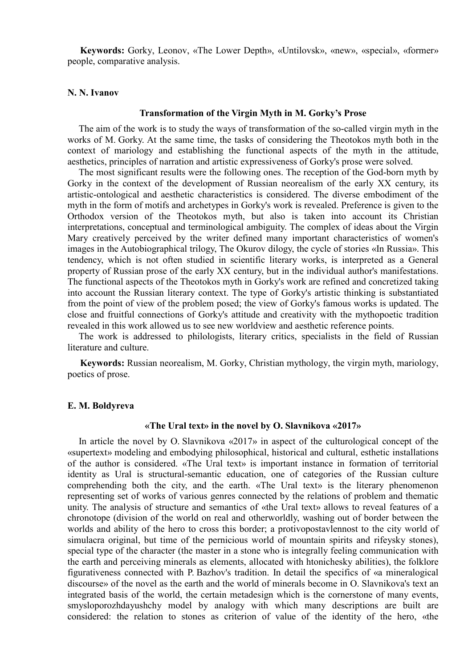**Keywords:** Gorky, Leonov, «The Lower Depth», «Untilovsk», «new», «special», «former» people, comparative analysis.

# **N. N. Ivanov**

#### **Transformation of the Virgin Myth in M. Gorky's Prose**

The aim of the work is to study the ways of transformation of the so-called virgin myth in the works of M. Gorky. At the same time, the tasks of considering the Theotokos myth both in the context of mariology and establishing the functional aspects of the myth in the attitude, aesthetics, principles of narration and artistic expressiveness of Gorky's prose were solved.

The most significant results were the following ones. The reception of the God-born myth by Gorky in the context of the development of Russian neorealism of the early XX century, its artistic-ontological and aesthetic characteristics is considered. The diverse embodiment of the myth in the form of motifs and archetypes in Gorky's work is revealed. Preference is given to the Orthodox version of the Theotokos myth, but also is taken into account its Christian interpretations, conceptual and terminological ambiguity. The complex of ideas about the Virgin Mary creatively perceived by the writer defined many important characteristics of women's images in the Autobiographical trilogy, The Okurov dilogy, the cycle of stories «In Russia». This tendency, which is not often studied in scientific literary works, is interpreted as a General property of Russian prose of the early XX century, but in the individual author's manifestations. The functional aspects of the Theotokos myth in Gorky's work are refined and concretized taking into account the Russian literary context. The type of Gorky's artistic thinking is substantiated from the point of view of the problem posed; the view of Gorky's famous works is updated. The close and fruitful connections of Gorky's attitude and creativity with the mythopoetic tradition revealed in this work allowed us to see new worldview and aesthetic reference points.

The work is addressed to philologists, literary critics, specialists in the field of Russian literature and culture.

**Keywords:** Russian neorealism, M. Gorky, Christian mythology, the virgin myth, mariology, poetics of prose.

## **E. M. Boldyreva**

### **«The Ural text» in the novel by O. Slavnikova «2017»**

In article the novel by O. Slavnikova «2017» in aspect of the culturological concept of the «supertext» modeling and embodying philosophical, historical and cultural, esthetic installations of the author is considered. «The Ural text» is important instance in formation of territorial identity as Ural is structural-semantic education, one of categories of the Russian culture comprehending both the city, and the earth. «The Ural text» is the literary phenomenon representing set of works of various genres connected by the relations of problem and thematic unity. The analysis of structure and semantics of «the Ural text» allows to reveal features of a chronotope (division of the world on real and otherworldly, washing out of border between the worlds and ability of the hero to cross this border; a protivopostavlennost to the city world of simulacra original, but time of the pernicious world of mountain spirits and rifeysky stones), special type of the character (the master in a stone who is integrally feeling communication with the earth and perceiving minerals as elements, allocated with htonichesky abilities), the folklore figurativeness connected with P. Bazhov's tradition. In detail the specifics of «a mineralogical discourse» of the novel as the earth and the world of minerals become in O. Slavnikova's text an integrated basis of the world, the certain metadesign which is the cornerstone of many events, smysloporozhdayushchy model by analogy with which many descriptions are built are considered: the relation to stones as criterion of value of the identity of the hero, «the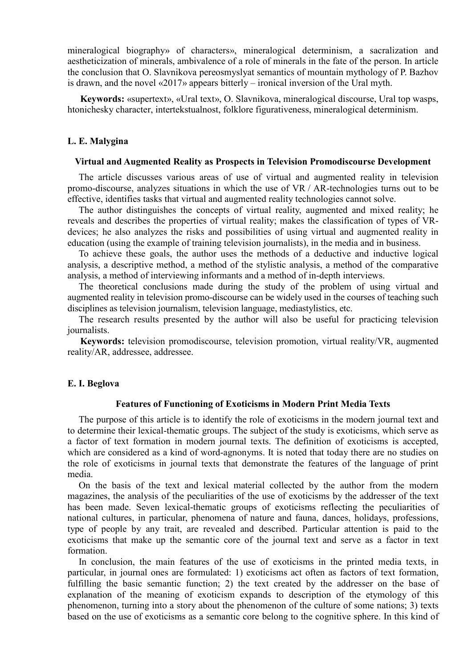mineralogical biography» of characters», mineralogical determinism, a sacralization and aestheticization of minerals, ambivalence of a role of minerals in the fate of the person. In article the conclusion that O. Slavnikova pereosmyslyat semantics of mountain mythology of P. Bazhov is drawn, and the novel «2017» appears bitterly – ironical inversion of the Ural myth.

**Keywords:** «supertext», «Ural text», O. Slavnikova, mineralogical discourse, Ural top wasps, htonichesky character, intertekstualnost, folklore figurativeness, mineralogical determinism.

### **L. E. Malygina**

#### **Virtual and Augmented Reality as Prospects in Television Promodiscourse Development**

The article discusses various areas of use of virtual and augmented reality in television promo-discourse, analyzes situations in which the use of VR / AR-technologies turns out to be effective, identifies tasks that virtual and augmented reality technologies cannot solve.

The author distinguishes the concepts of virtual reality, augmented and mixed reality; he reveals and describes the properties of virtual reality; makes the classification of types of VRdevices; he also analyzes the risks and possibilities of using virtual and augmented reality in education (using the example of training television journalists), in the media and in business.

To achieve these goals, the author uses the methods of a deductive and inductive logical analysis, a descriptive method, a method of the stylistic analysis, a method of the comparative analysis, a method of interviewing informants and a method of in-depth interviews.

The theoretical conclusions made during the study of the problem of using virtual and augmented reality in television promo-discourse can be widely used in the courses of teaching such disciplines as television journalism, television language, mediastylistics, etc.

The research results presented by the author will also be useful for practicing television journalists.

**Keywords:** television promodiscourse, television promotion, virtual reality/VR, augmented reality/AR, addressee, addressee.

#### **E. I. Beglova**

#### **Features of Functioning of Exoticisms in Modern Print Media Texts**

The purpose of this article is to identify the role of exoticisms in the modern journal text and to determine their lexical-thematic groups. The subject of the study is exoticisms, which serve as a factor of text formation in modern journal texts. The definition of exoticisms is accepted, which are considered as a kind of word-agnonyms. It is noted that today there are no studies on the role of exoticisms in journal texts that demonstrate the features of the language of print media.

On the basis of the text and lexical material collected by the author from the modern magazines, the analysis of the peculiarities of the use of exoticisms by the addresser of the text has been made. Seven lexical-thematic groups of exoticisms reflecting the peculiarities of national cultures, in particular, phenomena of nature and fauna, dances, holidays, professions, type of people by any trait, are revealed and described. Particular attention is paid to the exoticisms that make up the semantic core of the journal text and serve as a factor in text formation.

In conclusion, the main features of the use of exoticisms in the printed media texts, in particular, in journal ones are formulated: 1) exoticisms act often as factors of text formation, fulfilling the basic semantic function; 2) the text created by the addresser on the base of explanation of the meaning of exoticism expands to description of the etymology of this phenomenon, turning into a story about the phenomenon of the culture of some nations; 3) texts based on the use of exoticisms as a semantic core belong to the cognitive sphere. In this kind of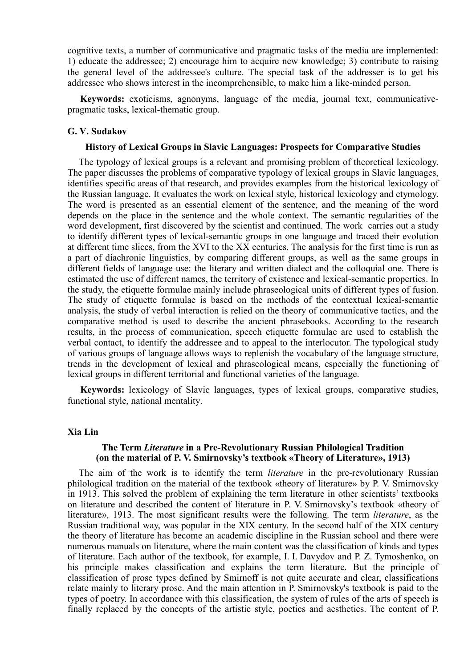cognitive texts, a number of communicative and pragmatic tasks of the media are implemented: 1) educate the addressee; 2) encourage him to acquire new knowledge; 3) contribute to raising the general level of the addressee's culture. The special task of the addresser is to get his addressee who shows interest in the incomprehensible, to make him a like-minded person.

**Keywords:** exoticisms, agnonyms, language of the media, journal text, communicativepragmatic tasks, lexical-thematic group.

#### **G. V. Sudakov**

### **History of Lexical Groups in Slavic Languages: Prospects for Comparative Studies**

The typology of lexical groups is a relevant and promising problem of theoretical lexicology. The paper discusses the problems of comparative typology of lexical groups in Slavic languages, identifies specific areas of that research, and provides examples from the historical lexicology of the Russian language. It evaluates the work on lexical style, historical lexicology and etymology. The word is presented as an essential element of the sentence, and the meaning of the word depends on the place in the sentence and the whole context. The semantic regularities of the word development, first discovered by the scientist and continued. The work carries out a study to identify different types of lexical-semantic groups in one language and traced their evolution at different time slices, from the XVI to the XX centuries. The analysis for the first time is run as a part of diachronic linguistics, by comparing different groups, as well as the same groups in different fields of language use: the literary and written dialect and the colloquial one. There is estimated the use of different names, the territory of existence and lexical-semantic properties. In the study, the etiquette formulae mainly include phraseological units of different types of fusion. The study of etiquette formulae is based on the methods of the contextual lexical-semantic analysis, the study of verbal interaction is relied on the theory of communicative tactics, and the comparative method is used to describe the ancient phrasebooks. According to the research results, in the process of communication, speech etiquette formulae are used to establish the verbal contact, to identify the addressee and to appeal to the interlocutor. The typological study of various groups of language allows ways to replenish the vocabulary of the language structure, trends in the development of lexical and phraseological means, especially the functioning of lexical groups in different territorial and functional varieties of the language.

**Keywords:** lexicology of Slavic languages, types of lexical groups, comparative studies, functional style, national mentality.

#### **Xia Lin**

# **The Term** *Literature* **in a Pre-Revolutionary Russian Philological Tradition (on the material of P. V. Smirnovsky's textbook «Theory of Literature», 1913)**

The aim of the work is to identify the term *literature* in the pre-revolutionary Russian philological tradition on the material of the textbook «theory of literature» by Р. V. Smirnovsky in 1913. This solved the problem of explaining the term literature in other scientists' textbooks on literature and described the content of literature in Р. V. Smirnovsky's textbook «theory of literature», 1913. The most significant results were the following. The term *literature*, as the Russian traditional way, was popular in the XIX century. In the second half of the XIX century the theory of literature has become an academic discipline in the Russian school and there were numerous manuals on literature, where the main content was the classification of kinds and types of literature. Each author of the textbook, for example, I. I. Davydov and Р. Z. Tymoshenko, on his principle makes classification and explains the term literature. But the principle of classification of prose types defined by Smirnoff is not quite accurate and clear, classifications relate mainly to literary prose. And the main attention in P. Smirnovsky's textbook is paid to the types of poetry. In accordance with this classification, the system of rules of the arts of speech is finally replaced by the concepts of the artistic style, poetics and aesthetics. The content of Р.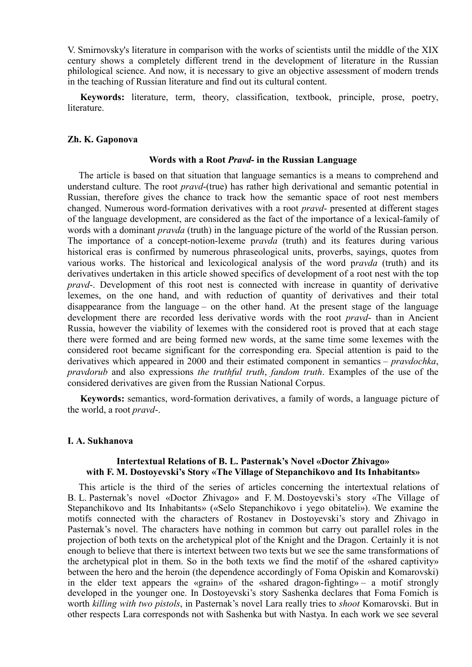V. Smirnovsky's literature in comparison with the works of scientists until the middle of the XIX century shows a completely different trend in the development of literature in the Russian philological science. And now, it is necessary to give an objective assessment of modern trends in the teaching of Russian literature and find out its cultural content.

**Keywords:** literature, term, theory, classification, textbook, principle, prose, poetry, literature.

## **Zh. K. Gaponova**

#### **Words with a Root** *Pravd***- in the Russian Language**

The article is based on that situation that language semantics is a means to comprehend and understand culture. The root *pravd*-(true) has rather high derivational and semantic potential in Russian, therefore gives the chance to track how the semantic space of root nest members changed. Numerous word-formation derivatives with a root *pravd*- presented at different stages of the language development, are considered as the fact of the importance of a lexical-family of words with a dominant *pravda* (truth) in the language picture of the world of the Russian person. The importance of a concept-notion-lexeme p*ravda* (truth) and its features during various historical eras is confirmed by numerous phraseological units, proverbs, sayings, quotes from various works. The historical and lexicological analysis of the word p*ravda* (truth) and its derivatives undertaken in this article showed specifics of development of a root nest with the top *pravd*-. Development of this root nest is connected with increase in quantity of derivative lexemes, on the one hand, and with reduction of quantity of derivatives and their total disappearance from the language – on the other hand. At the present stage of the language development there are recorded less derivative words with the root *pravd*- than in Ancient Russia, however the viability of lexemes with the considered root is proved that at each stage there were formed and are being formed new words, at the same time some lexemes with the considered root became significant for the corresponding era. Special attention is paid to the derivatives which appeared in 2000 and their estimated component in semantics – *pravdochka*, *pravdorub* and also expressions *the truthful truth*, *fandom truth*. Examples of the use of the considered derivatives are given from the Russian National Corpus.

**Keywords:** semantics, word-formation derivatives, a family of words, a language picture of the world, a root *pravd*-.

### **I. A. Sukhanova**

### **Intertextual Relations of B. L. Pasternak's Novel «Doctor Zhivago» with F. M. Dostoyevski's Story «The Village of Stepanchikovo and Its Inhabitants»**

This article is the third of the series of articles concerning the intertextual relations of B. L. Pasternak's novel «Doctor Zhivago» and F. M. Dostoyevski's story «The Village of Stepanchikovo and Its Inhabitants» («Selo Stepanchikovo i yego obitateli»). We examine the motifs connected with the characters of Rostanev in Dostoyevski's story and Zhivago in Pasternak's novel. The characters have nothing in common but carry out parallel roles in the projection of both texts on the archetypical plot of the Knight and the Dragon. Certainly it is not enough to believe that there is intertext between two texts but we see the same transformations of the archetypical plot in them. So in the both texts we find the motif of the «shared captivity» between the hero and the heroin (the dependence accordingly of Foma Opiskin and Komarovski) in the elder text appears the «grain» of the «shared dragon-fighting» – a motif strongly developed in the younger one. In Dostoyevski's story Sashenka declares that Foma Fomich is worth *killing with two pistols*, in Pasternak's novel Lara really tries to *shoot* Komarovski. But in other respects Lara corresponds not with Sashenka but with Nastya. In each work we see several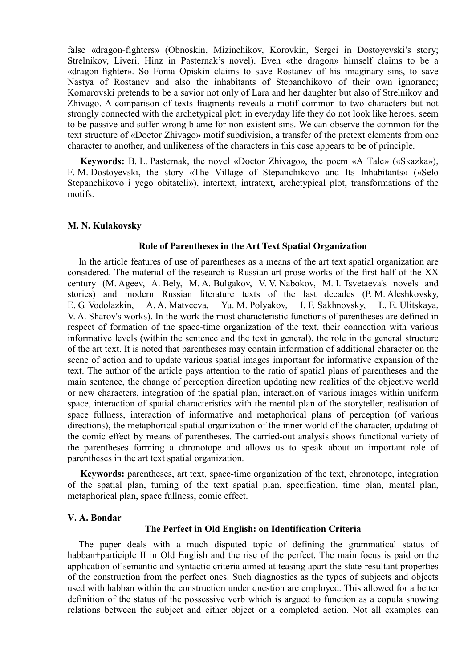false «dragon-fighters» (Obnoskin, Mizinchikov, Korovkin, Sergei in Dostoyevski's story; Strelnikov, Liveri, Hinz in Pasternak's novel). Even «the dragon» himself claims to be a «dragon-fighter». So Foma Opiskin claims to save Rostanev of his imaginary sins, to save Nastya of Rostanev and also the inhabitants of Stepanchikovo of their own ignorance; Komarovski pretends to be a savior not only of Lara and her daughter but also of Strelnikov and Zhivago. A comparison of texts fragments reveals a motif common to two characters but not strongly connected with the archetypical plot: in everyday life they do not look like heroes, seem to be passive and suffer wrong blame for non-existent sins. We can observe the common for the text structure of «Doctor Zhivago» motif subdivision, a transfer of the pretext elements from one character to another, and unlikeness of the characters in this case appears to be of principle.

**Keywords:** B. L. Pasternak, the novel «Doctor Zhivago», the poem «A Tale» («Skazka»), F. M. Dostoyevski, the story «The Village of Stepanchikovo and Its Inhabitants» («Selo Stepanchikovo i yego obitateli»), intertext, intratext, archetypical plot, transformations of the motifs.

### **M. N. Kulakovsky**

### **Role of Parentheses in the Art Text Spatial Organization**

In the article features of use of parentheses as a means of the art text spatial organization are considered. The material of the research is Russian art prose works of the first half of the XX century (M. Ageev, A. Bely, M. A. Bulgakov, V. V. Nabokov, M. I. Tsvetaeva's novels and stories) and modern Russian literature texts of the last decades (P. M. Aleshkovsky, E. G. Vodolazkin, A. A. Matveeva, Yu. M. Polyakov, I. F. Sakhnovsky, L. E. Ulitskaya, V. A. Sharov's works). In the work the most characteristic functions of parentheses are defined in respect of formation of the space-time organization of the text, their connection with various informative levels (within the sentence and the text in general), the role in the general structure of the art text. It is noted that parentheses may contain information of additional character on the scene of action and to update various spatial images important for informative expansion of the text. The author of the article pays attention to the ratio of spatial plans of parentheses and the main sentence, the change of perception direction updating new realities of the objective world or new characters, integration of the spatial plan, interaction of various images within uniform space, interaction of spatial characteristics with the mental plan of the storyteller, realisation of space fullness, interaction of informative and metaphorical plans of perception (of various directions), the metaphorical spatial organization of the inner world of the character, updating of the comic effect by means of parentheses. The carried-out analysis shows functional variety of the parentheses forming a chronotope and allows us to speak about an important role of parentheses in the art text spatial organization.

**Keywords:** parentheses, art text, space-time organization of the text, chronotope, integration of the spatial plan, turning of the text spatial plan, specification, time plan, mental plan, metaphorical plan, space fullness, comic effect.

### **V. A. Bondar**

### **The Perfect in Old English: on Identification Criteria**

The paper deals with a much disputed topic of defining the grammatical status of habban+participle II in Old English and the rise of the perfect. The main focus is paid on the application of semantic and syntactic criteria aimed at teasing apart the state-resultant properties of the construction from the perfect ones. Such diagnostics as the types of subjects and objects used with habban within the construction under question are employed. This allowed for a better definition of the status of the possessive verb which is argued to function as a copula showing relations between the subject and either object or a completed action. Not all examples can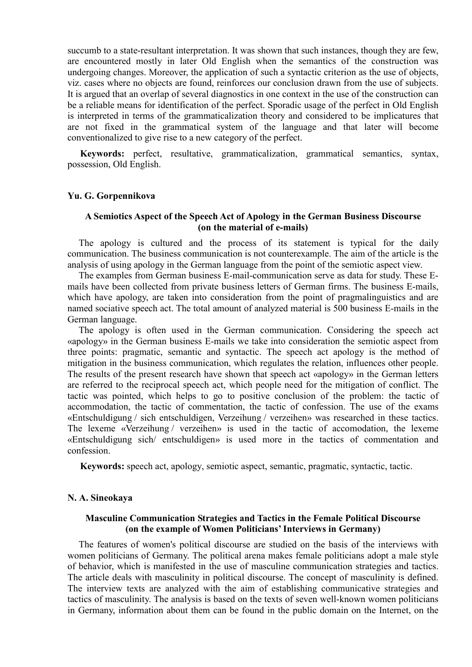succumb to a state-resultant interpretation. It was shown that such instances, though they are few, are encountered mostly in later Old English when the semantics of the construction was undergoing changes. Moreover, the application of such a syntactic criterion as the use of objects, viz. cases where no objects are found, reinforces our conclusion drawn from the use of subjects. It is argued that an overlap of several diagnostics in one context in the use of the construction can be a reliable means for identification of the perfect. Sporadic usage of the perfect in Old English is interpreted in terms of the grammaticalization theory and considered to be implicatures that are not fixed in the grammatical system of the language and that later will become conventionalized to give rise to a new category of the perfect.

**Keywords:** perfect, resultative, grammaticalization, grammatical semantics, syntax, possession, Old English.

#### **Yu. G. Gorpennikova**

### **A Semiotics Aspect of the Speech Act of Apology in the German Business Discourse (on the material of e-mails)**

The apology is cultured and the process of its statement is typical for the daily communication. The business communication is not counterexample. The aim of the article is the analysis of using apology in the German language from the point of the semiotic aspect view.

The examples from German business E-mail-communication serve as data for study. These Emails have been collected from private business letters of German firms. The business E-mails, which have apology, are taken into consideration from the point of pragmalinguistics and are named sociative speech act. The total amount of analyzed material is 500 business E-mails in the German language.

The apology is often used in the German communication. Considering the speech act «apology» in the German business E-mails we take into consideration the semiotic aspect from three points: pragmatic, semantic and syntactic. The speech act apology is the method of mitigation in the business communication, which regulates the relation, influences other people. The results of the present research have shown that speech act «apology» in the German letters are referred to the reciprocal speech act, which people need for the mitigation of conflict. The tactic was pointed, which helps to go to positive conclusion of the problem: the tactic of accommodation, the tactic of commentation, the tactic of confession. The use of the exams «Entschuldigung / sich entschuldigen, Verzeihung / verzeihen» was researched in these tactics. The lexeme «Verzeihung / verzeihen» is used in the tactic of accomodation, the lexeme «Entschuldigung sich/ entschuldigen» is used more in the tactics of commentation and confession.

**Keywords:** speech act, apology, semiotic aspect, semantic, pragmatic, syntactic, tactic.

#### **N. A. Sineokaya**

# **Masculine Communication Strategies and Tactics in the Female Political Discourse (on the example of Women Politicians' Interviews in Germany)**

The features of women's political discourse are studied on the basis of the interviews with women politicians of Germany. The political arena makes female politicians adopt a male style of behavior, which is manifested in the use of masculine communication strategies and tactics. The article deals with masculinity in political discourse. The concept of masculinity is defined. The interview texts are analyzed with the aim of establishing communicative strategies and tactics of masculinity. The analysis is based on the texts of seven well-known women politicians in Germany, information about them can be found in the public domain on the Internet, on the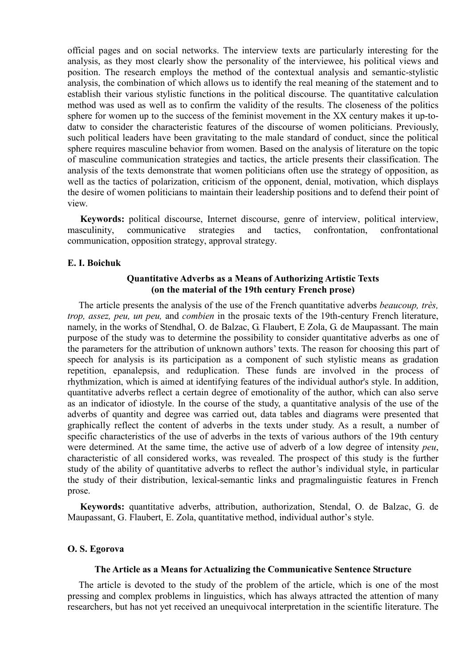official pages and on social networks. The interview texts are particularly interesting for the analysis, as they most clearly show the personality of the interviewee, his political views and position. The research employs the method of the contextual analysis and semantic-stylistic analysis, the combination of which allows us to identify the real meaning of the statement and to establish their various stylistic functions in the political discourse. The quantitative calculation method was used as well as to confirm the validity of the results. The closeness of the politics sphere for women up to the success of the feminist movement in the XX century makes it up-todatw to consider the characteristic features of the discourse of women politicians. Previously, such political leaders have been gravitating to the male standard of conduct, since the political sphere requires masculine behavior from women. Based on the analysis of literature on the topic of masculine communication strategies and tactics, the article presents their classification. The analysis of the texts demonstrate that women politicians often use the strategy of opposition, as well as the tactics of polarization, criticism of the opponent, denial, motivation, which displays the desire of women politicians to maintain their leadership positions and to defend their point of view.

**Keywords:** political discourse, Internet discourse, genre of interview, political interview, masculinity, communicative strategies and tactics, confrontation, confrontational communication, opposition strategy, approval strategy.

### **E. I. Boichuk**

# **Quantitative Adverbs as a Means of Authorizing Artistic Texts (on the material of the 19th century French prose)**

The article presents the analysis of the use of the French quantitative adverbs *beaucoup, très, trop, assez, peu, un peu,* and *combien* in the prosaic texts of the 19th-century French literature, namely, in the works of Stendhal, O. de Balzac, G. Flaubert, E Zola, G. de Maupassant. The main purpose of the study was to determine the possibility to consider quantitative adverbs as one of the parameters for the attribution of unknown authors' texts. The reason for choosing this part of speech for analysis is its participation as a component of such stylistic means as gradation repetition, epanalepsis, and reduplication. These funds are involved in the process of rhythmization, which is aimed at identifying features of the individual author's style. In addition, quantitative adverbs reflect a certain degree of emotionality of the author, which can also serve as an indicator of idiostyle. In the course of the study, a quantitative analysis of the use of the adverbs of quantity and degree was carried out, data tables and diagrams were presented that graphically reflect the content of adverbs in the texts under study. As a result, a number of specific characteristics of the use of adverbs in the texts of various authors of the 19th century were determined. At the same time, the active use of adverb of a low degree of intensity *peu*, characteristic of all considered works, was revealed. The prospect of this study is the further study of the ability of quantitative adverbs to reflect the author's individual style, in particular the study of their distribution, lexical-semantic links and pragmalinguistic features in French prose.

**Keywords:** quantitative adverbs, attribution, authorization, Stendal, O. de Balzac, G. de Maupassant, G. Flaubert, E. Zola, quantitative method, individual author's style.

## **O. S. Egorova**

### **The Article as a Means for Actualizing the Communicative Sentence Structure**

The article is devoted to the study of the problem of the article, which is one of the most pressing and complex problems in linguistics, which has always attracted the attention of many researchers, but has not yet received an unequivocal interpretation in the scientific literature. The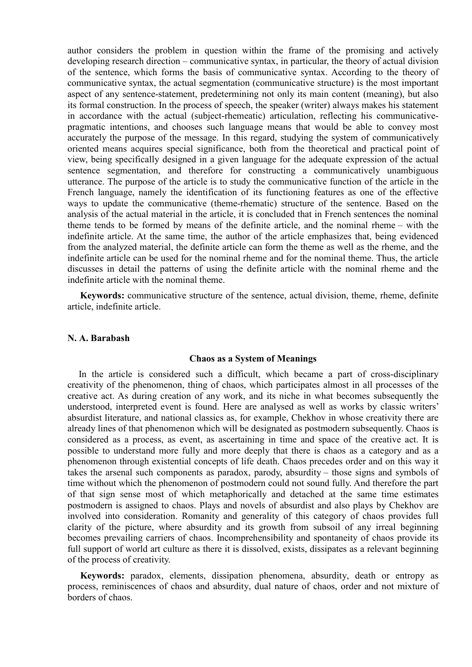author considers the problem in question within the frame of the promising and actively developing research direction – communicative syntax, in particular, the theory of actual division of the sentence, which forms the basis of communicative syntax. According to the theory of communicative syntax, the actual segmentation (communicative structure) is the most important aspect of any sentence-statement, predetermining not only its main content (meaning), but also its formal construction. In the process of speech, the speaker (writer) always makes his statement in accordance with the actual (subject-rhemeatic) articulation, reflecting his communicativepragmatic intentions, and chooses such language means that would be able to convey most accurately the purpose of the message. In this regard, studying the system of communicatively oriented means acquires special significance, both from the theoretical and practical point of view, being specifically designed in a given language for the adequate expression of the actual sentence segmentation, and therefore for constructing a communicatively unambiguous utterance. The purpose of the article is to study the communicative function of the article in the French language, namely the identification of its functioning features as one of the effective ways to update the communicative (theme-rhematic) structure of the sentence. Based on the analysis of the actual material in the article, it is concluded that in French sentences the nominal theme tends to be formed by means of the definite article, and the nominal rheme – with the indefinite article. At the same time, the author of the article emphasizes that, being evidenced from the analyzed material, the definite article can form the theme as well as the rheme, and the indefinite article can be used for the nominal rheme and for the nominal theme. Thus, the article discusses in detail the patterns of using the definite article with the nominal rheme and the indefinite article with the nominal theme.

**Keywords:** communicative structure of the sentence, actual division, theme, rheme, definite article, indefinite article.

## **N. A. Barabash**

#### **Chaos as a System of Meanings**

In the article is considered such a difficult, which became a part of cross-disciplinary creativity of the phenomenon, thing of chaos, which participates almost in all processes of the creative act. As during creation of any work, and its niche in what becomes subsequently the understood, interpreted event is found. Here are analysed as well as works by classic writers' absurdist literature, and national classics as, for example, Chekhov in whose creativity there are already lines of that phenomenon which will be designated as postmodern subsequently. Chaos is considered as a process, as event, as ascertaining in time and space of the creative act. It is possible to understand more fully and more deeply that there is chaos as a category and as a phenomenon through existential concepts of life death. Chaos precedes order and on this way it takes the arsenal such components as paradox, parody, absurdity – those signs and symbols of time without which the phenomenon of postmodern could not sound fully. And therefore the part of that sign sense most of which metaphorically and detached at the same time estimates postmodern is assigned to chaos. Plays and novels of absurdist and also plays by Chekhov are involved into consideration. Romanity and generality of this category of chaos provides full clarity of the picture, where absurdity and its growth from subsoil of any irreal beginning becomes prevailing carriers of chaos. Incomprehensibility and spontaneity of chaos provide its full support of world art culture as there it is dissolved, exists, dissipates as a relevant beginning of the process of creativity.

**Keywords:** paradox, elements, dissipation phenomena, absurdity, death or entropy as process, reminiscences of chaos and absurdity, dual nature of chaos, order and not mixture of borders of chaos.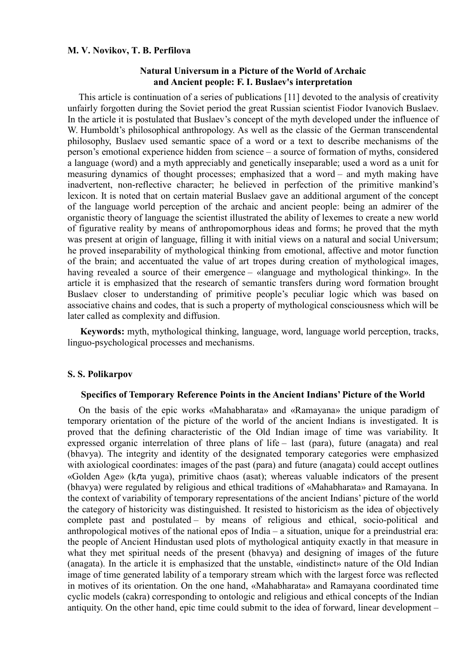### **M. V. Novikov, T. B. Perfilova**

# **Natural Universum in a Picture of the World of Archaic and Ancient people: F. I. Buslaev's interpretation**

This article is continuation of a series of publications [11] devoted to the analysis of creativity unfairly forgotten during the Soviet period the great Russian scientist Fiodor Ivanovich Buslaev. In the article it is postulated that Buslaev's concept of the myth developed under the influence of W. Humboldt's philosophical anthropology. As well as the classic of the German transcendental philosophy, Buslaev used semantic space of a word or a text to describe mechanisms of the person's emotional experience hidden from science – a source of formation of myths, considered a language (word) and a myth appreciably and genetically inseparable; used a word as a unit for measuring dynamics of thought processes; emphasized that a word – and myth making have inadvertent, non-reflective character; he believed in perfection of the primitive mankind's lexicon. It is noted that on certain material Buslaev gave an additional argument of the concept of the language world perception of the archaic and ancient people: being an admirer of the organistic theory of language the scientist illustrated the ability of lexemes to create a new world of figurative reality by means of anthropomorphous ideas and forms; he proved that the myth was present at origin of language, filling it with initial views on a natural and social Universum; he proved inseparability of mythological thinking from emotional, affective and motor function of the brain; and accentuated the value of art tropes during creation of mythological images, having revealed a source of their emergence – «language and mythological thinking». In the article it is emphasized that the research of semantic transfers during word formation brought Buslaev closer to understanding of primitive people's peculiar logic which was based on associative chains and codes, that is such a property of mythological consciousness which will be later called as complexity and diffusion.

**Keywords:** myth, mythological thinking, language, word, language world perception, tracks, linguo-psychological processes and mechanisms.

### **S. S. Polikarpov**

## **Specifics of Temporary Reference Points in the Ancient Indians' Picture of the World**

On the basis of the epic works «Mahabharata» and «Ramayana» the unique paradigm of temporary orientation of the picture of the world of the ancient Indians is investigated. It is proved that the defining characteristic of the Old Indian image of time was variability. It expressed organic interrelation of three plans of life – last (para), future (anagata) and real (bhavya). The integrity and identity of the designated temporary categories were emphasized with axiological coordinates: images of the past (para) and future (anagata) could accept outlines «Golden Age» (kṛta yuga), primitive chaos (asat); whereas valuable indicators of the present (bhavya) were regulated by religious and ethical traditions of «Mahabharata» and Ramayana. In the context of variability of temporary representations of the ancient Indians' picture of the world the category of historicity was distinguished. It resisted to historicism as the idea of objectively complete past and postulated – by means of religious and ethical, socio-political and anthropological motives of the national epos of India – a situation, unique for a preindustrial era: the people of Ancient Hindustan used plots of mythological antiquity exactly in that measure in what they met spiritual needs of the present (bhavya) and designing of images of the future (anagata). In the article it is emphasized that the unstable, «indistinct» nature of the Old Indian image of time generated lability of a temporary stream which with the largest force was reflected in motives of its orientation. On the one hand, «Mahabharata» and Ramayana coordinated time cyclic models (cakra) corresponding to ontologic and religious and ethical concepts of the Indian antiquity. On the other hand, epic time could submit to the idea of forward, linear development –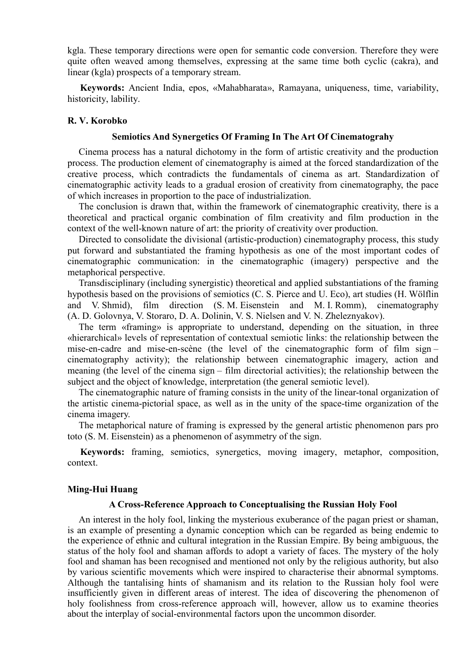kgla. These temporary directions were open for semantic code conversion. Therefore they were quite often weaved among themselves, expressing at the same time both cyclic (cakra), and linear (kgla) prospects of a temporary stream.

**Keywords:** Ancient India, epos, «Mahabharata», Ramayana, uniqueness, time, variability, historicity, lability.

# **R. V. Korobko**

# **Semiotics And Synergetics Of Framing In The Art Of Cinematograhy**

Cinema process has a natural dichotomy in the form of artistic creativity and the production process. The production element of cinematography is aimed at the forced standardization of the creative process, which contradicts the fundamentals of cinema as art. Standardization of cinematographic activity leads to a gradual erosion of creativity from cinematography, the pace of which increases in proportion to the pace of industrialization.

The conclusion is drawn that, within the framework of cinematographic creativity, there is a theoretical and practical organic combination of film creativity and film production in the context of the well-known nature of art: the priority of creativity over production.

Directed to consolidate the divisional (artistic-production) cinematography process, this study put forward and substantiated the framing hypothesis as one of the most important codes of cinematographic communication: in the cinematographic (imagery) perspective and the metaphorical perspective.

Transdisciplinary (including synergistic) theoretical and applied substantiations of the framing hypothesis based on the provisions of semiotics (C. S. Pierce and U. Eco), art studies (H. Wölflin and V. Shmid), film direction (S. M. Eisenstein and M. I. Romm), cinematography (A. D. Golovnya, V. Storaro, D. A. Dolinin, V. S. Nielsen and V. N. Zheleznyakov).

The term «framing» is appropriate to understand, depending on the situation, in three «hierarchical» levels of representation of contextual semiotic links: the relationship between the mise-en-cadre and mise-en-scène (the level of the cinematographic form of film sign – cinematography activity); the relationship between cinematographic imagery, action and meaning (the level of the cinema sign – film directorial activities); the relationship between the subject and the object of knowledge, interpretation (the general semiotic level).

The cinematographic nature of framing consists in the unity of the linear-tonal organization of the artistic cinema-pictorial space, as well as in the unity of the space-time organization of the cinema imagery.

The metaphorical nature of framing is expressed by the general artistic phenomenon pars pro toto (S. M. Eisenstein) as a phenomenon of asymmetry of the sign.

**Keywords:** framing, semiotics, synergetics, moving imagery, metaphor, composition, context.

## **Ming-Hui Huang**

#### **A Cross-Reference Approach to Conceptualising the Russian Holy Fool**

An interest in the holy fool, linking the mysterious exuberance of the pagan priest or shaman, is an example of presenting a dynamic conception which can be regarded as being endemic to the experience of ethnic and cultural integration in the Russian Empire. By being ambiguous, the status of the holy fool and shaman affords to adopt a variety of faces. The mystery of the holy fool and shaman has been recognised and mentioned not only by the religious authority, but also by various scientific movements which were inspired to characterise their abnormal symptoms. Although the tantalising hints of shamanism and its relation to the Russian holy fool were insufficiently given in different areas of interest. The idea of discovering the phenomenon of holy foolishness from cross-reference approach will, however, allow us to examine theories about the interplay of social-environmental factors upon the uncommon disorder.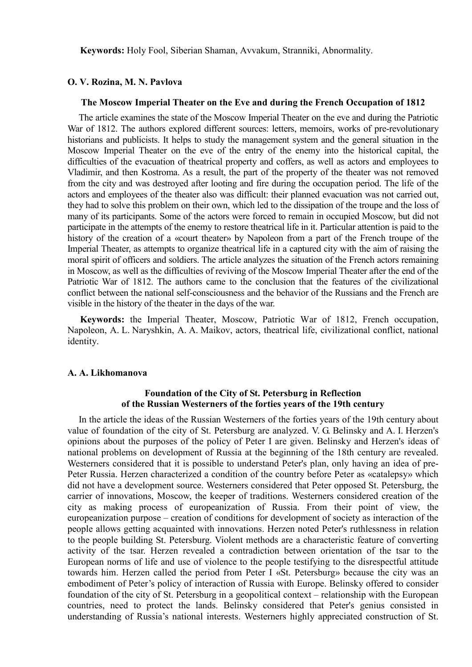**Keywords:** Holy Fool, Siberian Shaman, Avvakum, Stranniki, Abnormality.

### **O. V. Rozina, M. N. Pavlova**

#### **The Moscow Imperial Theater on the Eve and during the French Occupation of 1812**

The article examines the state of the Moscow Imperial Theater on the eve and during the Patriotic War of 1812. The authors explored different sources: letters, memoirs, works of pre-revolutionary historians and publicists. It helps to study the management system and the general situation in the Moscow Imperial Theater on the eve of the entry of the enemy into the historical capital, the difficulties of the evacuation of theatrical property and coffers, as well as actors and employees to Vladimir, and then Kostroma. As a result, the part of the property of the theater was not removed from the city and was destroyed after looting and fire during the occupation period. The life of the actors and employees of the theater also was difficult: their planned evacuation was not carried out, they had to solve this problem on their own, which led to the dissipation of the troupe and the loss of many of its participants. Some of the actors were forced to remain in occupied Moscow, but did not participate in the attempts of the enemy to restore theatrical life in it. Particular attention is paid to the history of the creation of a «court theater» by Napoleon from a part of the French troupe of the Imperial Theater, as attempts to organize theatrical life in a captured city with the aim of raising the moral spirit of officers and soldiers. The article analyzes the situation of the French actors remaining in Moscow, as well as the difficulties of reviving of the Moscow Imperial Theater after the end of the Patriotic War of 1812. The authors came to the conclusion that the features of the civilizational conflict between the national self-consciousness and the behavior of the Russians and the French are visible in the history of the theater in the days of the war.

**Keywords:** the Imperial Theater, Moscow, Patriotic War of 1812, French occupation, Napoleon, A. L. Naryshkin, A. A. Maikov, actors, theatrical life, civilizational conflict, national identity.

#### **A. A. Likhomanova**

# **Foundation of the City of St. Petersburg in Reflection of the Russian Westerners of the forties years of the 19th century**

In the article the ideas of the Russian Westerners of the forties years of the 19th century about value of foundation of the city of St. Petersburg are analyzed. V. G. Belinsky and A. I. Herzen's opinions about the purposes of the policy of Peter I are given. Belinsky and Herzen's ideas of national problems on development of Russia at the beginning of the 18th century are revealed. Westerners considered that it is possible to understand Peter's plan, only having an idea of pre-Peter Russia. Herzen characterized a condition of the country before Peter as «catalepsy» which did not have a development source. Westerners considered that Peter opposed St. Petersburg, the carrier of innovations, Moscow, the keeper of traditions. Westerners considered creation of the city as making process of europeanization of Russia. From their point of view, the europeanization purpose – creation of conditions for development of society as interaction of the people allows getting acquainted with innovations. Herzen noted Peter's ruthlessness in relation to the people building St. Petersburg. Violent methods are a characteristic feature of converting activity of the tsar. Herzen revealed a contradiction between orientation of the tsar to the European norms of life and use of violence to the people testifying to the disrespectful attitude towards him. Herzen called the period from Peter I «St. Petersburg» because the city was an embodiment of Peter's policy of interaction of Russia with Europe. Belinsky offered to consider foundation of the city of St. Petersburg in a geopolitical context – relationship with the European countries, need to protect the lands. Belinsky considered that Peter's genius consisted in understanding of Russia's national interests. Westerners highly appreciated construction of St.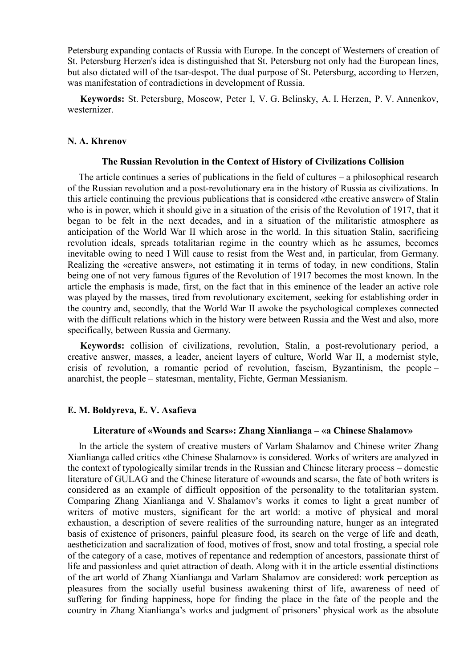Petersburg expanding contacts of Russia with Europe. In the concept of Westerners of creation of St. Petersburg Herzen's idea is distinguished that St. Petersburg not only had the European lines, but also dictated will of the tsar-despot. The dual purpose of St. Petersburg, according to Herzen, was manifestation of contradictions in development of Russia.

**Keywords:** St. Petersburg, Moscow, Peter I, V. G. Belinsky, A. I. Herzen, P. V. Annenkov, westernizer.

### **N. A. Khrenov**

#### **The Russian Revolution in the Context of History of Civilizations Collision**

The article continues a series of publications in the field of cultures – a philosophical research of the Russian revolution and a post-revolutionary era in the history of Russia as civilizations. In this article continuing the previous publications that is considered «the creative answer» of Stalin who is in power, which it should give in a situation of the crisis of the Revolution of 1917, that it began to be felt in the next decades, and in a situation of the militaristic atmosphere as anticipation of the World War II which arose in the world. In this situation Stalin, sacrificing revolution ideals, spreads totalitarian regime in the country which as he assumes, becomes inevitable owing to need I Will cause to resist from the West and, in particular, from Germany. Realizing the «creative answer», not estimating it in terms of today, in new conditions, Stalin being one of not very famous figures of the Revolution of 1917 becomes the most known. In the article the emphasis is made, first, on the fact that in this eminence of the leader an active role was played by the masses, tired from revolutionary excitement, seeking for establishing order in the country and, secondly, that the World War II awoke the psychological complexes connected with the difficult relations which in the history were between Russia and the West and also, more specifically, between Russia and Germany.

**Keywords:** collision of civilizations, revolution, Stalin, a post-revolutionary period, a creative answer, masses, a leader, ancient layers of culture, World War II, a modernist style, crisis of revolution, a romantic period of revolution, fascism, Byzantinism, the people – anarchist, the people – statesman, mentality, Fichte, German Messianism.

### **E. M. Boldyreva, E. V. Asafieva**

#### **Literature of «Wounds and Scars»: Zhang Xianlianga – «a Chinese Shalamov»**

In the article the system of creative musters of Varlam Shalamov and Chinese writer Zhang Xianlianga called critics «the Chinese Shalamov» is considered. Works of writers are analyzed in the context of typologically similar trends in the Russian and Chinese literary process – domestic literature of GULAG and the Chinese literature of «wounds and scars», the fate of both writers is considered as an example of difficult opposition of the personality to the totalitarian system. Comparing Zhang Xianlianga and V. Shalamov's works it comes to light a great number of writers of motive musters, significant for the art world: a motive of physical and moral exhaustion, a description of severe realities of the surrounding nature, hunger as an integrated basis of existence of prisoners, painful pleasure food, its search on the verge of life and death, aestheticization and sacralization of food, motives of frost, snow and total frosting, a special role of the category of a case, motives of repentance and redemption of ancestors, passionate thirst of life and passionless and quiet attraction of death. Along with it in the article essential distinctions of the art world of Zhang Xianlianga and Varlam Shalamov are considered: work perception as pleasures from the socially useful business awakening thirst of life, awareness of need of suffering for finding happiness, hope for finding the place in the fate of the people and the country in Zhang Xianlianga's works and judgment of prisoners' physical work as the absolute